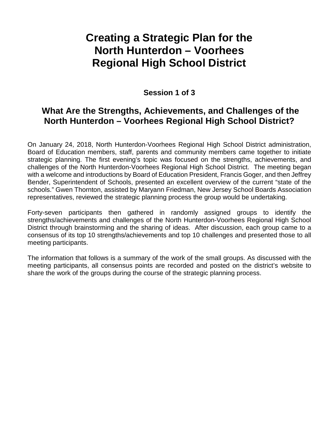# **Creating a Strategic Plan for the North Hunterdon – Voorhees Regional High School District**

## **Session 1 of 3**

## **What Are the Strengths, Achievements, and Challenges of the North Hunterdon – Voorhees Regional High School District?**

On January 24, 2018, North Hunterdon-Voorhees Regional High School District administration, Board of Education members, staff, parents and community members came together to initiate strategic planning. The first evening's topic was focused on the strengths, achievements, and challenges of the North Hunterdon-Voorhees Regional High School District. The meeting began with a welcome and introductions by Board of Education President, Francis Goger, and then Jeffrey Bender, Superintendent of Schools, presented an excellent overview of the current "state of the schools." Gwen Thornton, assisted by Maryann Friedman, New Jersey School Boards Association representatives, reviewed the strategic planning process the group would be undertaking.

Forty-seven participants then gathered in randomly assigned groups to identify the strengths/achievements and challenges of the North Hunterdon-Voorhees Regional High School District through brainstorming and the sharing of ideas. After discussion, each group came to a consensus of its top 10 strengths/achievements and top 10 challenges and presented those to all meeting participants.

The information that follows is a summary of the work of the small groups. As discussed with the meeting participants, all consensus points are recorded and posted on the district's website to share the work of the groups during the course of the strategic planning process.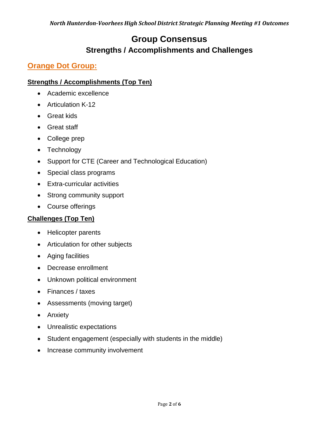## **Group Consensus Strengths / Accomplishments and Challenges**

## **Orange Dot Group:**

### **Strengths / Accomplishments (Top Ten)**

- Academic excellence
- Articulation K-12
- Great kids
- Great staff
- College prep
- Technology
- Support for CTE (Career and Technological Education)
- Special class programs
- Extra-curricular activities
- Strong community support
- Course offerings

#### **Challenges (Top Ten)**

- Helicopter parents
- Articulation for other subjects
- Aging facilities
- Decrease enrollment
- Unknown political environment
- Finances / taxes
- Assessments (moving target)
- Anxiety
- Unrealistic expectations
- Student engagement (especially with students in the middle)
- Increase community involvement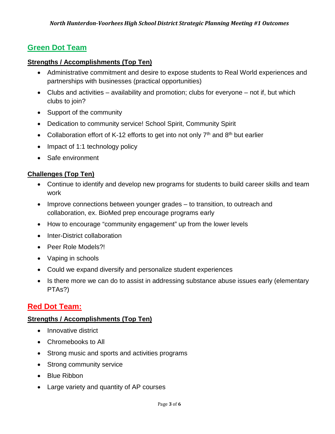## **Green Dot Team**

#### **Strengths / Accomplishments (Top Ten)**

- Administrative commitment and desire to expose students to Real World experiences and partnerships with businesses (practical opportunities)
- Clubs and activities  $-$  availability and promotion; clubs for everyone  $-$  not if, but which clubs to join?
- Support of the community
- Dedication to community service! School Spirit, Community Spirit
- Collaboration effort of K-12 efforts to get into not only  $7<sup>th</sup>$  and  $8<sup>th</sup>$  but earlier
- Impact of 1:1 technology policy
- Safe environment

#### **Challenges (Top Ten)**

- Continue to identify and develop new programs for students to build career skills and team work
- Improve connections between younger grades to transition, to outreach and collaboration, ex. BioMed prep encourage programs early
- How to encourage "community engagement" up from the lower levels
- Inter-District collaboration
- Peer Role Models?!
- Vaping in schools
- Could we expand diversify and personalize student experiences
- Is there more we can do to assist in addressing substance abuse issues early (elementary PTAs?)

## **Red Dot Team:**

#### **Strengths / Accomplishments (Top Ten)**

- Innovative district
- Chromebooks to All
- Strong music and sports and activities programs
- Strong community service
- Blue Ribbon
- Large variety and quantity of AP courses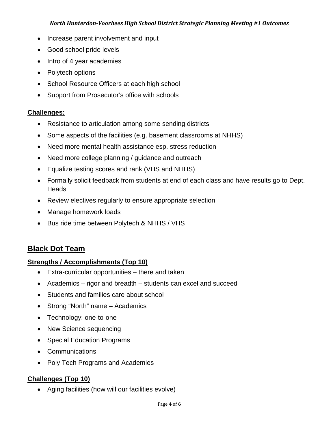#### *North Hunterdon-Voorhees High School District Strategic Planning Meeting #1 Outcomes*

- Increase parent involvement and input
- Good school pride levels
- Intro of 4 year academies
- Polytech options
- School Resource Officers at each high school
- Support from Prosecutor's office with schools

#### **Challenges:**

- Resistance to articulation among some sending districts
- Some aspects of the facilities (e.g. basement classrooms at NHHS)
- Need more mental health assistance esp. stress reduction
- Need more college planning / guidance and outreach
- Equalize testing scores and rank (VHS and NHHS)
- Formally solicit feedback from students at end of each class and have results go to Dept. **Heads**
- Review electives regularly to ensure appropriate selection
- Manage homework loads
- Bus ride time between Polytech & NHHS / VHS

## **Black Dot Team**

#### **Strengths / Accomplishments (Top 10)**

- Extra-curricular opportunities there and taken
- Academics rigor and breadth students can excel and succeed
- Students and families care about school
- Strong "North" name Academics
- Technology: one-to-one
- New Science sequencing
- Special Education Programs
- Communications
- Poly Tech Programs and Academies

## **Challenges (Top 10)**

• Aging facilities (how will our facilities evolve)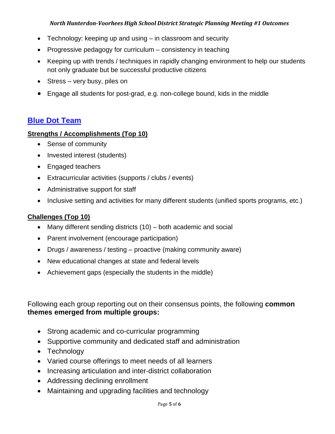#### *North Hunterdon-Voorhees High School District Strategic Planning Meeting #1 Outcomes*

- Technology: keeping up and using in classroom and security
- Progressive pedagogy for curriculum consistency in teaching
- Keeping up with trends / techniques in rapidly changing environment to help our students not only graduate but be successful productive citizens
- Stress very busy, piles on
- Engage all students for post-grad, e.g. non-college bound, kids in the middle

#### **Blue Dot Team**

#### **Strengths / Accomplishments (Top 10)**

- Sense of community
- Invested interest (students)
- Engaged teachers
- Extracurricular activities (supports / clubs / events)
- Administrative support for staff
- Inclusive setting and activities for many different students (unified sports programs, etc.)

#### **Challenges (Top 10)**

- Many different sending districts (10) both academic and social
- Parent involvement (encourage participation)
- Drugs / awareness / testing proactive (making community aware)
- New educational changes at state and federal levels
- Achievement gaps (especially the students in the middle)

### Following each group reporting out on their consensus points, the following **common themes emerged from multiple groups:**

- Strong academic and co-curricular programming
- Supportive community and dedicated staff and administration
- Technology
- Varied course offerings to meet needs of all learners
- Increasing articulation and inter-district collaboration
- Addressing declining enrollment
- Maintaining and upgrading facilities and technology